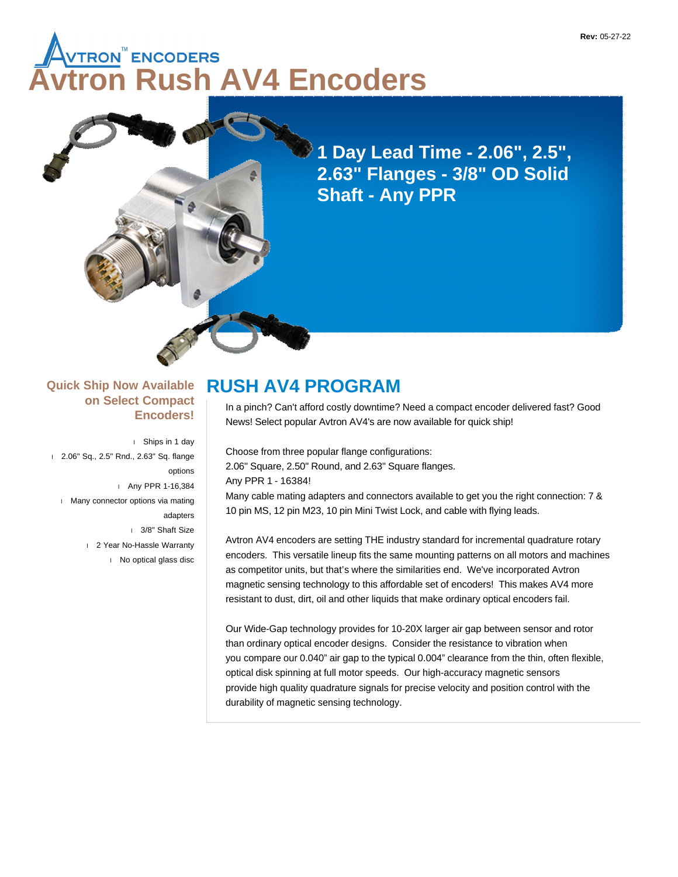# **AUTRON<sup>™</sup>ENCODERS<br>⁄tron Rush AV4 Encoders**

**1 Day Lead Time - 2.06", 2.5", 2.63" Flanges - 3/8" OD Solid Shaft - Any PPR**

#### **Quick Ship Now Available on Select Compact Encoders!**

 Ships in 1 day 2.06" Sq., 2.5" Rnd., 2.63" Sq. flange options Any PPR 1-16,384 **Many connector options via mating** adapters 3/8" Shaft Size 2 Year No-Hassle Warranty No optical glass disc

## **RUSH AV4 PROGRAM**

In a pinch? Can't afford costly downtime? Need a compact encoder delivered fast? Good News! Select popular Avtron AV4's are now available for quick ship!

Choose from three popular flange configurations: 2.06" Square, 2.50" Round, and 2.63" Square flanges. Any PPR 1 - 16384! Many cable mating adapters and connectors available to get you the right connection: 7 & 10 pin MS, 12 pin M23, 10 pin Mini Twist Lock, and cable with flying leads.

Avtron AV4 encoders are setting THE industry standard for incremental quadrature rotary encoders. This versatile lineup fits the same mounting patterns on all motors and machines as competitor units, but that's where the similarities end. We've incorporated Avtron magnetic sensing technology to this affordable set of encoders! This makes AV4 more resistant to dust, dirt, oil and other liquids that make ordinary optical encoders fail.

Our Wide-Gap technology provides for 10-20X larger air gap between sensor and rotor than ordinary optical encoder designs. Consider the resistance to vibration when you compare our 0.040" air gap to the typical 0.004" clearance from the thin, often flexible, optical disk spinning at full motor speeds. Our high-accuracy magnetic sensors provide high quality quadrature signals for precise velocity and position control with the durability of magnetic sensing technology.